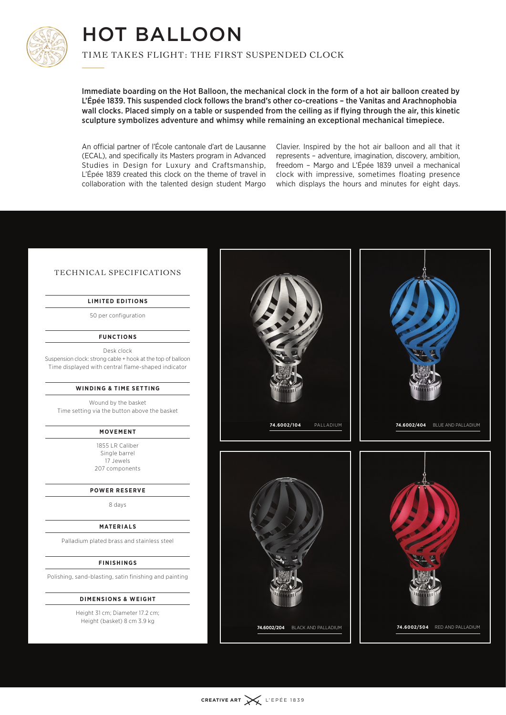

## HOT BALLOON TIMI<br>——

TIME TAKES FLIGHT: THE FIRST SUSPENDED CLOCK

Immediate boarding on the Hot Balloon, the mechanical clock in the form of a hot air balloon created by L'Épée 1839. This suspended clock follows the brand's other co-creations – the Vanitas and Arachnophobia wall clocks. Placed simply on a table or suspended from the ceiling as if flying through the air, this kinetic sculpture symbolizes adventure and whimsy while remaining an exceptional mechanical timepiece.

An official partner of l'École cantonale d'art de Lausanne (ECAL), and specifically its Masters program in Advanced Studies in Design for Luxury and Craftsmanship, L'Épée 1839 created this clock on the theme of travel in collaboration with the talented design student Margo

Clavier. Inspired by the hot air balloon and all that it represents – adventure, imagination, discovery, ambition, freedom – Margo and L'Épée 1839 unveil a mechanical clock with impressive, sometimes floating presence which displays the hours and minutes for eight days.